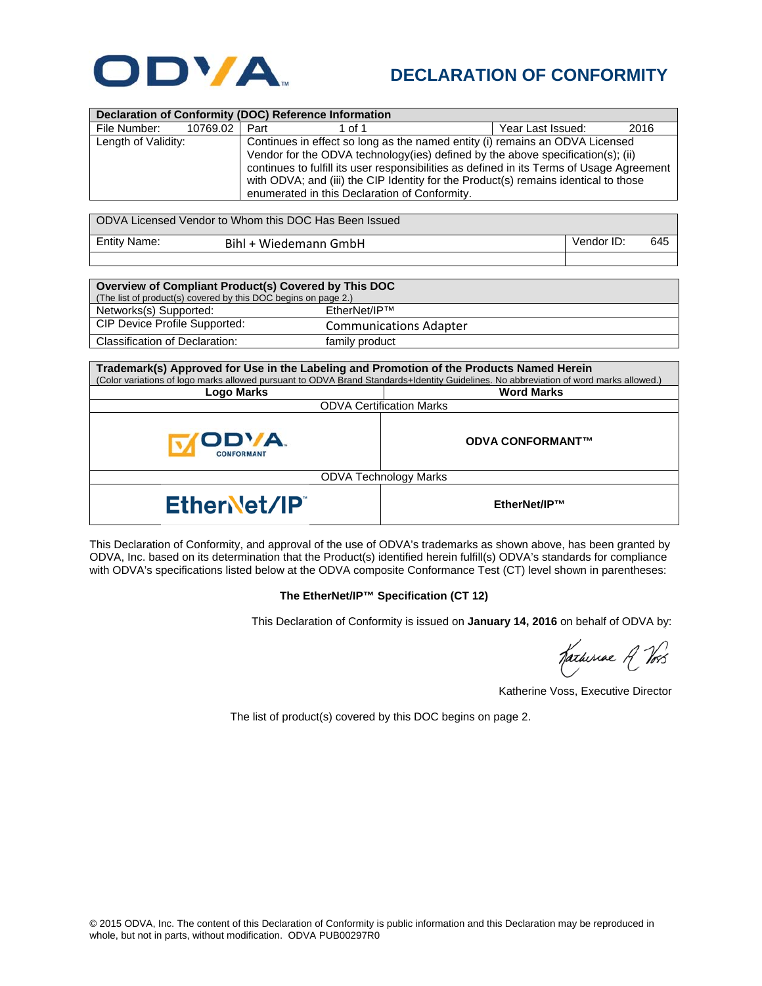

## **DECLARATION OF CONFORMITY**

| <b>Declaration of Conformity (DOC) Reference Information</b> |                                                                                                                                                                                                                                   |        |                   |      |  |
|--------------------------------------------------------------|-----------------------------------------------------------------------------------------------------------------------------------------------------------------------------------------------------------------------------------|--------|-------------------|------|--|
| File Number:<br>10769.02                                     | Part                                                                                                                                                                                                                              | 1 of 1 | Year Last Issued: | 2016 |  |
| Length of Validity:                                          | Continues in effect so long as the named entity (i) remains an ODVA Licensed<br>Vendor for the ODVA technology (ies) defined by the above specification(s); (ii)                                                                  |        |                   |      |  |
|                                                              | continues to fulfill its user responsibilities as defined in its Terms of Usage Agreement<br>with ODVA; and (iii) the CIP Identity for the Product(s) remains identical to those<br>enumerated in this Declaration of Conformity. |        |                   |      |  |

| ODVA Licensed Vendor to Whom this DOC Has Been Issued |                       |                   |  |  |  |
|-------------------------------------------------------|-----------------------|-------------------|--|--|--|
| <b>Entity Name:</b>                                   | Bihl + Wiedemann GmbH | Vendor ID:<br>645 |  |  |  |
|                                                       |                       |                   |  |  |  |

| Overview of Compliant Product(s) Covered by This DOC           |                               |  |  |  |
|----------------------------------------------------------------|-------------------------------|--|--|--|
| (The list of product(s) covered by this DOC begins on page 2.) |                               |  |  |  |
| Networks(s) Supported:                                         | $F$ therNet/IP <sup>TM</sup>  |  |  |  |
| CIP Device Profile Supported:                                  | <b>Communications Adapter</b> |  |  |  |
| Classification of Declaration:                                 | family product                |  |  |  |

| Trademark(s) Approved for Use in the Labeling and Promotion of the Products Named Herein<br>(Color variations of logo marks allowed pursuant to ODVA Brand Standards+Identity Guidelines. No abbreviation of word marks allowed.) |                         |  |  |  |
|-----------------------------------------------------------------------------------------------------------------------------------------------------------------------------------------------------------------------------------|-------------------------|--|--|--|
| Logo Marks                                                                                                                                                                                                                        | <b>Word Marks</b>       |  |  |  |
| <b>ODVA Certification Marks</b>                                                                                                                                                                                                   |                         |  |  |  |
| ODVA.<br><b>CONFORMANT</b>                                                                                                                                                                                                        | <b>ODVA CONFORMANT™</b> |  |  |  |
| <b>ODVA Technology Marks</b>                                                                                                                                                                                                      |                         |  |  |  |
| EtherNet/IP                                                                                                                                                                                                                       | EtherNet/IP™            |  |  |  |

This Declaration of Conformity, and approval of the use of ODVA's trademarks as shown above, has been granted by ODVA, Inc. based on its determination that the Product(s) identified herein fulfill(s) ODVA's standards for compliance with ODVA's specifications listed below at the ODVA composite Conformance Test (CT) level shown in parentheses:

## **The EtherNet/IP™ Specification (CT 12)**

This Declaration of Conformity is issued on **January 14, 2016** on behalf of ODVA by:

Katheriae R Vos

Katherine Voss, Executive Director

The list of product(s) covered by this DOC begins on page 2.